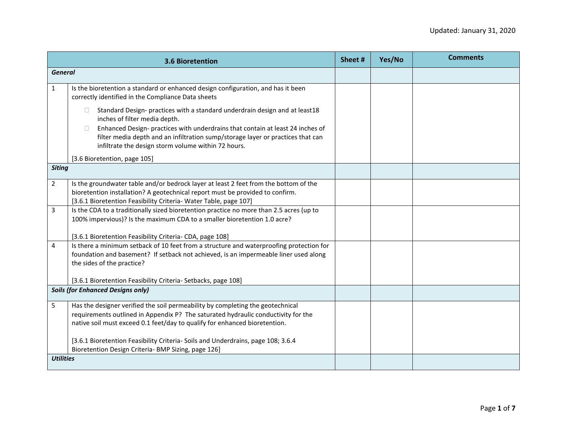|                  | <b>3.6 Bioretention</b>                                                                                                                                                                                                                                                                                                                                      | Sheet # | Yes/No | <b>Comments</b> |
|------------------|--------------------------------------------------------------------------------------------------------------------------------------------------------------------------------------------------------------------------------------------------------------------------------------------------------------------------------------------------------------|---------|--------|-----------------|
| <b>General</b>   |                                                                                                                                                                                                                                                                                                                                                              |         |        |                 |
| $\mathbf{1}$     | Is the bioretention a standard or enhanced design configuration, and has it been<br>correctly identified in the Compliance Data sheets                                                                                                                                                                                                                       |         |        |                 |
|                  | Standard Design- practices with a standard underdrain design and at least18<br>$\Box$<br>inches of filter media depth.<br>Enhanced Design- practices with underdrains that contain at least 24 inches of<br>$\Box$<br>filter media depth and an infiltration sump/storage layer or practices that can<br>infiltrate the design storm volume within 72 hours. |         |        |                 |
|                  | [3.6 Bioretention, page 105]                                                                                                                                                                                                                                                                                                                                 |         |        |                 |
| <b>Siting</b>    |                                                                                                                                                                                                                                                                                                                                                              |         |        |                 |
| $\overline{2}$   | Is the groundwater table and/or bedrock layer at least 2 feet from the bottom of the<br>bioretention installation? A geotechnical report must be provided to confirm.<br>[3.6.1 Bioretention Feasibility Criteria- Water Table, page 107]                                                                                                                    |         |        |                 |
| 3                | Is the CDA to a traditionally sized bioretention practice no more than 2.5 acres (up to<br>100% impervious)? Is the maximum CDA to a smaller bioretention 1.0 acre?<br>[3.6.1 Bioretention Feasibility Criteria- CDA, page 108]                                                                                                                              |         |        |                 |
| 4                | Is there a minimum setback of 10 feet from a structure and waterproofing protection for<br>foundation and basement? If setback not achieved, is an impermeable liner used along<br>the sides of the practice?                                                                                                                                                |         |        |                 |
|                  | [3.6.1 Bioretention Feasibility Criteria- Setbacks, page 108]<br><b>Soils (for Enhanced Designs only)</b>                                                                                                                                                                                                                                                    |         |        |                 |
|                  |                                                                                                                                                                                                                                                                                                                                                              |         |        |                 |
| 5                | Has the designer verified the soil permeability by completing the geotechnical<br>requirements outlined in Appendix P? The saturated hydraulic conductivity for the<br>native soil must exceed 0.1 feet/day to qualify for enhanced bioretention.                                                                                                            |         |        |                 |
|                  | [3.6.1 Bioretention Feasibility Criteria- Soils and Underdrains, page 108; 3.6.4<br>Bioretention Design Criteria- BMP Sizing, page 126]                                                                                                                                                                                                                      |         |        |                 |
| <b>Utilities</b> |                                                                                                                                                                                                                                                                                                                                                              |         |        |                 |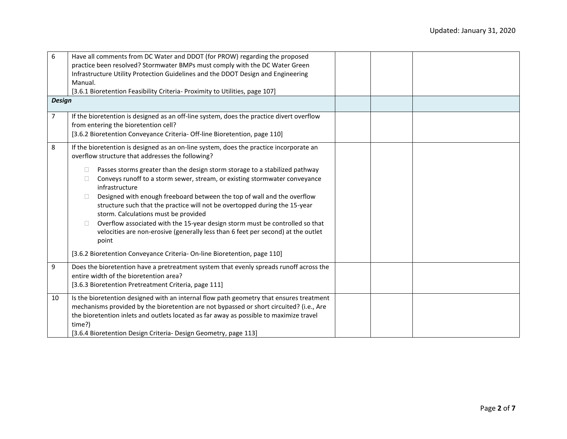| 6              | Have all comments from DC Water and DDOT (for PROW) regarding the proposed<br>practice been resolved? Stormwater BMPs must comply with the DC Water Green<br>Infrastructure Utility Protection Guidelines and the DDOT Design and Engineering<br>Manual.<br>[3.6.1 Bioretention Feasibility Criteria- Proximity to Utilities, page 107]                                                                                                                                                                                                                             |  |  |
|----------------|---------------------------------------------------------------------------------------------------------------------------------------------------------------------------------------------------------------------------------------------------------------------------------------------------------------------------------------------------------------------------------------------------------------------------------------------------------------------------------------------------------------------------------------------------------------------|--|--|
| <b>Design</b>  |                                                                                                                                                                                                                                                                                                                                                                                                                                                                                                                                                                     |  |  |
| $\overline{7}$ | If the bioretention is designed as an off-line system, does the practice divert overflow<br>from entering the bioretention cell?<br>[3.6.2 Bioretention Conveyance Criteria- Off-line Bioretention, page 110]                                                                                                                                                                                                                                                                                                                                                       |  |  |
| 8              | If the bioretention is designed as an on-line system, does the practice incorporate an<br>overflow structure that addresses the following?                                                                                                                                                                                                                                                                                                                                                                                                                          |  |  |
|                | Passes storms greater than the design storm storage to a stabilized pathway<br>Conveys runoff to a storm sewer, stream, or existing stormwater conveyance<br>infrastructure<br>Designed with enough freeboard between the top of wall and the overflow<br>П<br>structure such that the practice will not be overtopped during the 15-year<br>storm. Calculations must be provided<br>Overflow associated with the 15-year design storm must be controlled so that<br>□<br>velocities are non-erosive (generally less than 6 feet per second) at the outlet<br>point |  |  |
|                | [3.6.2 Bioretention Conveyance Criteria-On-line Bioretention, page 110]                                                                                                                                                                                                                                                                                                                                                                                                                                                                                             |  |  |
| 9              | Does the bioretention have a pretreatment system that evenly spreads runoff across the<br>entire width of the bioretention area?<br>[3.6.3 Bioretention Pretreatment Criteria, page 111]                                                                                                                                                                                                                                                                                                                                                                            |  |  |
| 10             | Is the bioretention designed with an internal flow path geometry that ensures treatment<br>mechanisms provided by the bioretention are not bypassed or short circuited? (i.e., Are<br>the bioretention inlets and outlets located as far away as possible to maximize travel<br>time?)<br>[3.6.4 Bioretention Design Criteria- Design Geometry, page 113]                                                                                                                                                                                                           |  |  |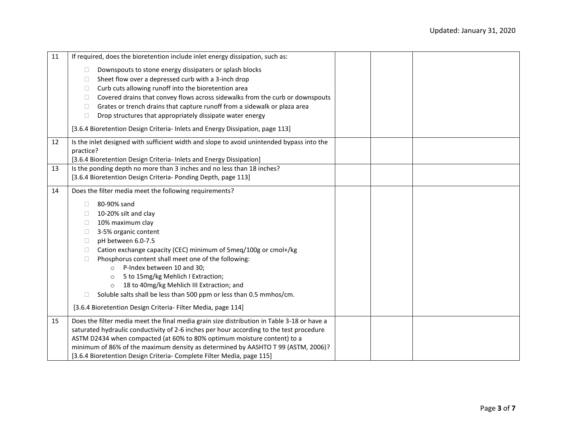| 11 | If required, does the bioretention include inlet energy dissipation, such as:                                                                 |  |  |
|----|-----------------------------------------------------------------------------------------------------------------------------------------------|--|--|
|    | Downspouts to stone energy dissipaters or splash blocks<br>□                                                                                  |  |  |
|    | Sheet flow over a depressed curb with a 3-inch drop<br>Ш                                                                                      |  |  |
|    | Curb cuts allowing runoff into the bioretention area<br>$\Box$                                                                                |  |  |
|    | Covered drains that convey flows across sidewalks from the curb or downspouts<br>П                                                            |  |  |
|    | Grates or trench drains that capture runoff from a sidewalk or plaza area<br>□                                                                |  |  |
|    | Drop structures that appropriately dissipate water energy<br>$\Box$                                                                           |  |  |
|    | [3.6.4 Bioretention Design Criteria- Inlets and Energy Dissipation, page 113]                                                                 |  |  |
| 12 | Is the inlet designed with sufficient width and slope to avoid unintended bypass into the                                                     |  |  |
|    | practice?                                                                                                                                     |  |  |
| 13 | [3.6.4 Bioretention Design Criteria- Inlets and Energy Dissipation]<br>Is the ponding depth no more than 3 inches and no less than 18 inches? |  |  |
|    | [3.6.4 Bioretention Design Criteria- Ponding Depth, page 113]                                                                                 |  |  |
|    |                                                                                                                                               |  |  |
| 14 | Does the filter media meet the following requirements?                                                                                        |  |  |
|    | 80-90% sand<br>□                                                                                                                              |  |  |
|    | 10-20% silt and clay<br>Ш                                                                                                                     |  |  |
|    | 10% maximum clay<br>□                                                                                                                         |  |  |
|    | 3-5% organic content<br>□                                                                                                                     |  |  |
|    | pH between 6.0-7.5<br>$\mathbf{1}$                                                                                                            |  |  |
|    | Cation exchange capacity (CEC) minimum of 5meq/100g or cmol+/kg<br>$\Box$                                                                     |  |  |
|    | Phosphorus content shall meet one of the following:<br>П                                                                                      |  |  |
|    | P-Index between 10 and 30;<br>$\Omega$                                                                                                        |  |  |
|    | 5 to 15mg/kg Mehlich I Extraction;<br>$\circ$                                                                                                 |  |  |
|    | 18 to 40mg/kg Mehlich III Extraction; and<br>$\circ$                                                                                          |  |  |
|    | Soluble salts shall be less than 500 ppm or less than 0.5 mmhos/cm.                                                                           |  |  |
|    | [3.6.4 Bioretention Design Criteria- Filter Media, page 114]                                                                                  |  |  |
| 15 | Does the filter media meet the final media grain size distribution in Table 3-18 or have a                                                    |  |  |
|    | saturated hydraulic conductivity of 2-6 inches per hour according to the test procedure                                                       |  |  |
|    | ASTM D2434 when compacted (at 60% to 80% optimum moisture content) to a                                                                       |  |  |
|    | minimum of 86% of the maximum density as determined by AASHTO T 99 (ASTM, 2006)?                                                              |  |  |
|    | [3.6.4 Bioretention Design Criteria- Complete Filter Media, page 115]                                                                         |  |  |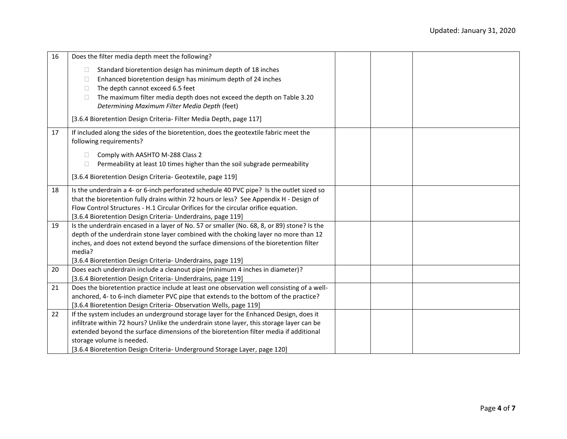| 16 | Does the filter media depth meet the following?                                            |  |  |
|----|--------------------------------------------------------------------------------------------|--|--|
|    | Standard bioretention design has minimum depth of 18 inches<br>$\Box$                      |  |  |
|    | Enhanced bioretention design has minimum depth of 24 inches<br>$\Box$                      |  |  |
|    | The depth cannot exceed 6.5 feet<br>$\Box$                                                 |  |  |
|    | The maximum filter media depth does not exceed the depth on Table 3.20<br>$\Box$           |  |  |
|    | Determining Maximum Filter Media Depth (feet)                                              |  |  |
|    | [3.6.4 Bioretention Design Criteria- Filter Media Depth, page 117]                         |  |  |
| 17 | If included along the sides of the bioretention, does the geotextile fabric meet the       |  |  |
|    | following requirements?                                                                    |  |  |
|    | Comply with AASHTO M-288 Class 2<br>□                                                      |  |  |
|    | Permeability at least 10 times higher than the soil subgrade permeability<br>$\Box$        |  |  |
|    |                                                                                            |  |  |
|    | [3.6.4 Bioretention Design Criteria- Geotextile, page 119]                                 |  |  |
| 18 | Is the underdrain a 4- or 6-inch perforated schedule 40 PVC pipe? Is the outlet sized so   |  |  |
|    | that the bioretention fully drains within 72 hours or less? See Appendix H - Design of     |  |  |
|    | Flow Control Structures - H.1 Circular Orifices for the circular orifice equation.         |  |  |
|    | [3.6.4 Bioretention Design Criteria- Underdrains, page 119]                                |  |  |
| 19 | Is the underdrain encased in a layer of No. 57 or smaller (No. 68, 8, or 89) stone? Is the |  |  |
|    | depth of the underdrain stone layer combined with the choking layer no more than 12        |  |  |
|    | inches, and does not extend beyond the surface dimensions of the bioretention filter       |  |  |
|    | media?                                                                                     |  |  |
|    | [3.6.4 Bioretention Design Criteria- Underdrains, page 119]                                |  |  |
| 20 | Does each underdrain include a cleanout pipe (minimum 4 inches in diameter)?               |  |  |
|    | [3.6.4 Bioretention Design Criteria- Underdrains, page 119]                                |  |  |
| 21 | Does the bioretention practice include at least one observation well consisting of a well- |  |  |
|    | anchored, 4- to 6-inch diameter PVC pipe that extends to the bottom of the practice?       |  |  |
|    | [3.6.4 Bioretention Design Criteria- Observation Wells, page 119]                          |  |  |
| 22 | If the system includes an underground storage layer for the Enhanced Design, does it       |  |  |
|    | infiltrate within 72 hours? Unlike the underdrain stone layer, this storage layer can be   |  |  |
|    | extended beyond the surface dimensions of the bioretention filter media if additional      |  |  |
|    | storage volume is needed.                                                                  |  |  |
|    | [3.6.4 Bioretention Design Criteria- Underground Storage Layer, page 120]                  |  |  |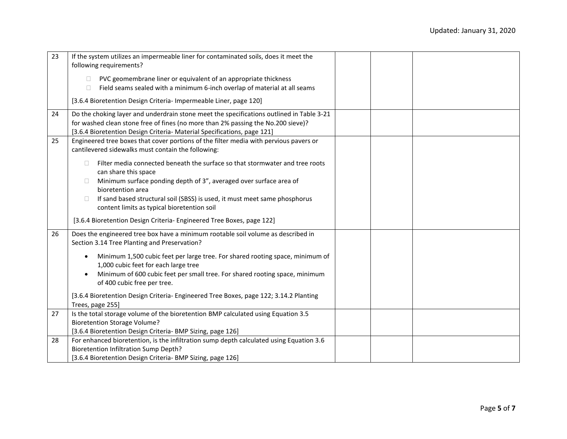| 23 | If the system utilizes an impermeable liner for contaminated soils, does it meet the<br>following requirements? |
|----|-----------------------------------------------------------------------------------------------------------------|
|    |                                                                                                                 |
|    | PVC geomembrane liner or equivalent of an appropriate thickness<br>□                                            |
|    | Field seams sealed with a minimum 6-inch overlap of material at all seams                                       |
|    | [3.6.4 Bioretention Design Criteria- Impermeable Liner, page 120]                                               |
| 24 | Do the choking layer and underdrain stone meet the specifications outlined in Table 3-21                        |
|    | for washed clean stone free of fines (no more than 2% passing the No.200 sieve)?                                |
|    | [3.6.4 Bioretention Design Criteria- Material Specifications, page 121]                                         |
| 25 | Engineered tree boxes that cover portions of the filter media with pervious pavers or                           |
|    | cantilevered sidewalks must contain the following:                                                              |
|    | Filter media connected beneath the surface so that stormwater and tree roots<br>П                               |
|    | can share this space                                                                                            |
|    | Minimum surface ponding depth of 3", averaged over surface area of<br>□                                         |
|    | bioretention area                                                                                               |
|    | If sand based structural soil (SBSS) is used, it must meet same phosphorus<br>□                                 |
|    | content limits as typical bioretention soil                                                                     |
|    | [3.6.4 Bioretention Design Criteria- Engineered Tree Boxes, page 122]                                           |
| 26 | Does the engineered tree box have a minimum rootable soil volume as described in                                |
|    | Section 3.14 Tree Planting and Preservation?                                                                    |
|    | Minimum 1,500 cubic feet per large tree. For shared rooting space, minimum of<br>$\bullet$                      |
|    | 1,000 cubic feet for each large tree                                                                            |
|    | Minimum of 600 cubic feet per small tree. For shared rooting space, minimum                                     |
|    | of 400 cubic free per tree.                                                                                     |
|    | [3.6.4 Bioretention Design Criteria- Engineered Tree Boxes, page 122; 3.14.2 Planting                           |
|    | Trees, page 255]                                                                                                |
| 27 | Is the total storage volume of the bioretention BMP calculated using Equation 3.5                               |
|    | <b>Bioretention Storage Volume?</b>                                                                             |
|    | [3.6.4 Bioretention Design Criteria- BMP Sizing, page 126]                                                      |
| 28 | For enhanced bioretention, is the infiltration sump depth calculated using Equation 3.6                         |
|    | <b>Bioretention Infiltration Sump Depth?</b>                                                                    |
|    | [3.6.4 Bioretention Design Criteria- BMP Sizing, page 126]                                                      |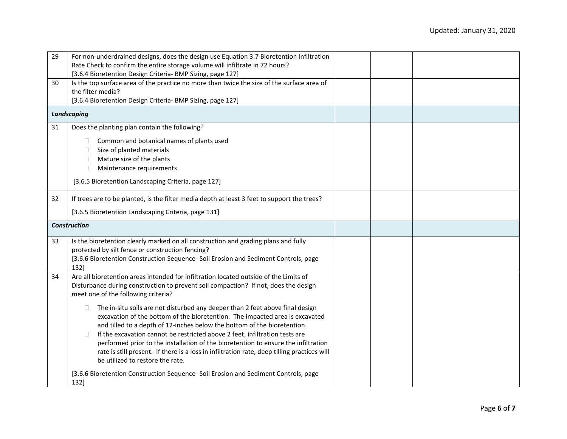| 29 | For non-underdrained designs, does the design use Equation 3.7 Bioretention Infiltration                                                                                                                                                                                                                                                                                                                                                                                                                                                                                                                                                                     |  |  |
|----|--------------------------------------------------------------------------------------------------------------------------------------------------------------------------------------------------------------------------------------------------------------------------------------------------------------------------------------------------------------------------------------------------------------------------------------------------------------------------------------------------------------------------------------------------------------------------------------------------------------------------------------------------------------|--|--|
|    | Rate Check to confirm the entire storage volume will infiltrate in 72 hours?                                                                                                                                                                                                                                                                                                                                                                                                                                                                                                                                                                                 |  |  |
|    | [3.6.4 Bioretention Design Criteria- BMP Sizing, page 127]                                                                                                                                                                                                                                                                                                                                                                                                                                                                                                                                                                                                   |  |  |
| 30 | Is the top surface area of the practice no more than twice the size of the surface area of                                                                                                                                                                                                                                                                                                                                                                                                                                                                                                                                                                   |  |  |
|    | the filter media?                                                                                                                                                                                                                                                                                                                                                                                                                                                                                                                                                                                                                                            |  |  |
|    | [3.6.4 Bioretention Design Criteria- BMP Sizing, page 127]                                                                                                                                                                                                                                                                                                                                                                                                                                                                                                                                                                                                   |  |  |
|    | <b>Landscaping</b>                                                                                                                                                                                                                                                                                                                                                                                                                                                                                                                                                                                                                                           |  |  |
| 31 | Does the planting plan contain the following?                                                                                                                                                                                                                                                                                                                                                                                                                                                                                                                                                                                                                |  |  |
|    | Common and botanical names of plants used<br>$\Box$                                                                                                                                                                                                                                                                                                                                                                                                                                                                                                                                                                                                          |  |  |
|    | Size of planted materials<br>$\Box$                                                                                                                                                                                                                                                                                                                                                                                                                                                                                                                                                                                                                          |  |  |
|    | Mature size of the plants<br>$\Box$                                                                                                                                                                                                                                                                                                                                                                                                                                                                                                                                                                                                                          |  |  |
|    | Maintenance requirements<br>$\Box$                                                                                                                                                                                                                                                                                                                                                                                                                                                                                                                                                                                                                           |  |  |
|    |                                                                                                                                                                                                                                                                                                                                                                                                                                                                                                                                                                                                                                                              |  |  |
|    | [3.6.5 Bioretention Landscaping Criteria, page 127]                                                                                                                                                                                                                                                                                                                                                                                                                                                                                                                                                                                                          |  |  |
| 32 | If trees are to be planted, is the filter media depth at least 3 feet to support the trees?                                                                                                                                                                                                                                                                                                                                                                                                                                                                                                                                                                  |  |  |
|    | [3.6.5 Bioretention Landscaping Criteria, page 131]                                                                                                                                                                                                                                                                                                                                                                                                                                                                                                                                                                                                          |  |  |
|    |                                                                                                                                                                                                                                                                                                                                                                                                                                                                                                                                                                                                                                                              |  |  |
|    | <b>Construction</b>                                                                                                                                                                                                                                                                                                                                                                                                                                                                                                                                                                                                                                          |  |  |
| 33 | Is the bioretention clearly marked on all construction and grading plans and fully                                                                                                                                                                                                                                                                                                                                                                                                                                                                                                                                                                           |  |  |
|    | protected by silt fence or construction fencing?                                                                                                                                                                                                                                                                                                                                                                                                                                                                                                                                                                                                             |  |  |
|    | [3.6.6 Bioretention Construction Sequence- Soil Erosion and Sediment Controls, page                                                                                                                                                                                                                                                                                                                                                                                                                                                                                                                                                                          |  |  |
|    | 132]                                                                                                                                                                                                                                                                                                                                                                                                                                                                                                                                                                                                                                                         |  |  |
| 34 | Are all bioretention areas intended for infiltration located outside of the Limits of                                                                                                                                                                                                                                                                                                                                                                                                                                                                                                                                                                        |  |  |
|    | Disturbance during construction to prevent soil compaction? If not, does the design                                                                                                                                                                                                                                                                                                                                                                                                                                                                                                                                                                          |  |  |
|    | meet one of the following criteria?                                                                                                                                                                                                                                                                                                                                                                                                                                                                                                                                                                                                                          |  |  |
|    | The in-situ soils are not disturbed any deeper than 2 feet above final design<br>$\Box$<br>excavation of the bottom of the bioretention. The impacted area is excavated<br>and tilled to a depth of 12-inches below the bottom of the bioretention.<br>If the excavation cannot be restricted above 2 feet, infiltration tests are<br>$\Box$<br>performed prior to the installation of the bioretention to ensure the infiltration<br>rate is still present. If there is a loss in infiltration rate, deep tilling practices will<br>be utilized to restore the rate.<br>[3.6.6 Bioretention Construction Sequence- Soil Erosion and Sediment Controls, page |  |  |